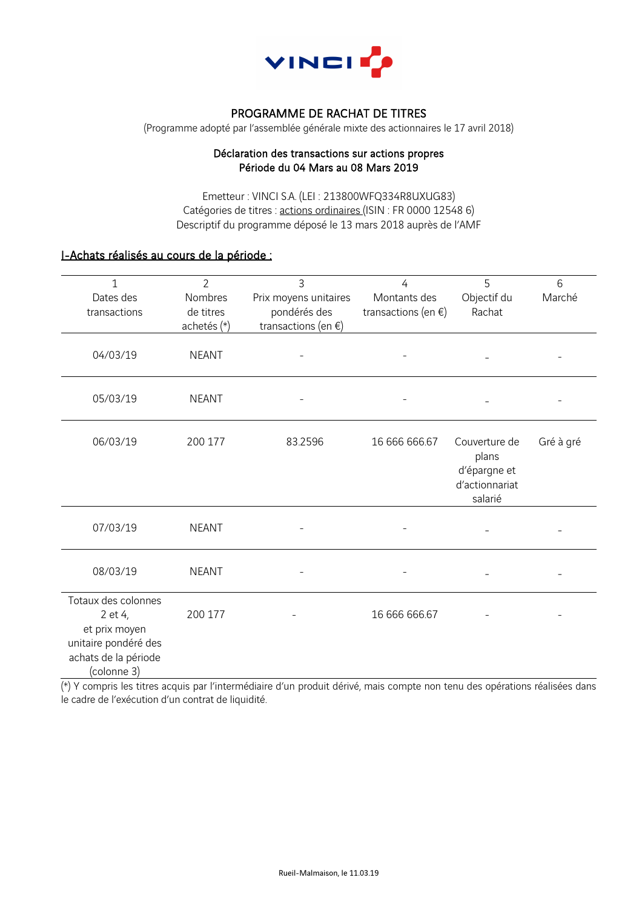

# PROGRAMME DE RACHAT DE TITRES

(Programme adopté par l'assemblée générale mixte des actionnaires le 17 avril 2018)

### Déclaration des transactions sur actions propres Période du 04 Mars au 08 Mars 2019

Emetteur : VINCI S.A. (LEI : 213800WFQ334R8UXUG83) Catégories de titres : actions ordinaires (ISIN : FR 0000 12548 6) Descriptif du programme déposé le 13 mars 2018 auprès de l'AMF

## I-Achats réalisés au cours de la période :

| 1                                                                                                              | $\overline{2}$ | 3                        | 4                        | 5                                      | 6         |
|----------------------------------------------------------------------------------------------------------------|----------------|--------------------------|--------------------------|----------------------------------------|-----------|
| Dates des                                                                                                      | Nombres        | Prix moyens unitaires    | Montants des             | Objectif du                            | Marché    |
| transactions                                                                                                   | de titres      | pondérés des             | transactions (en $\xi$ ) | Rachat                                 |           |
|                                                                                                                | achetés (*)    | transactions (en $\xi$ ) |                          |                                        |           |
| 04/03/19                                                                                                       | <b>NEANT</b>   |                          |                          |                                        |           |
| 05/03/19                                                                                                       | <b>NEANT</b>   |                          |                          |                                        |           |
| 06/03/19                                                                                                       | 200 177        | 83.2596                  | 16 666 666.67            | Couverture de<br>plans<br>d'épargne et | Gré à gré |
|                                                                                                                |                |                          |                          | d'actionnariat<br>salarié              |           |
| 07/03/19                                                                                                       | <b>NEANT</b>   |                          |                          |                                        |           |
| 08/03/19                                                                                                       | <b>NEANT</b>   |                          |                          |                                        |           |
| Totaux des colonnes<br>2 et 4,<br>et prix moyen<br>unitaire pondéré des<br>achats de la période<br>(colonne 3) | 200 177        |                          | 16 666 666.67            |                                        |           |

(\*) Y compris les titres acquis par l'intermédiaire d'un produit dérivé, mais compte non tenu des opérations réalisées dans le cadre de l'exécution d'un contrat de liquidité.